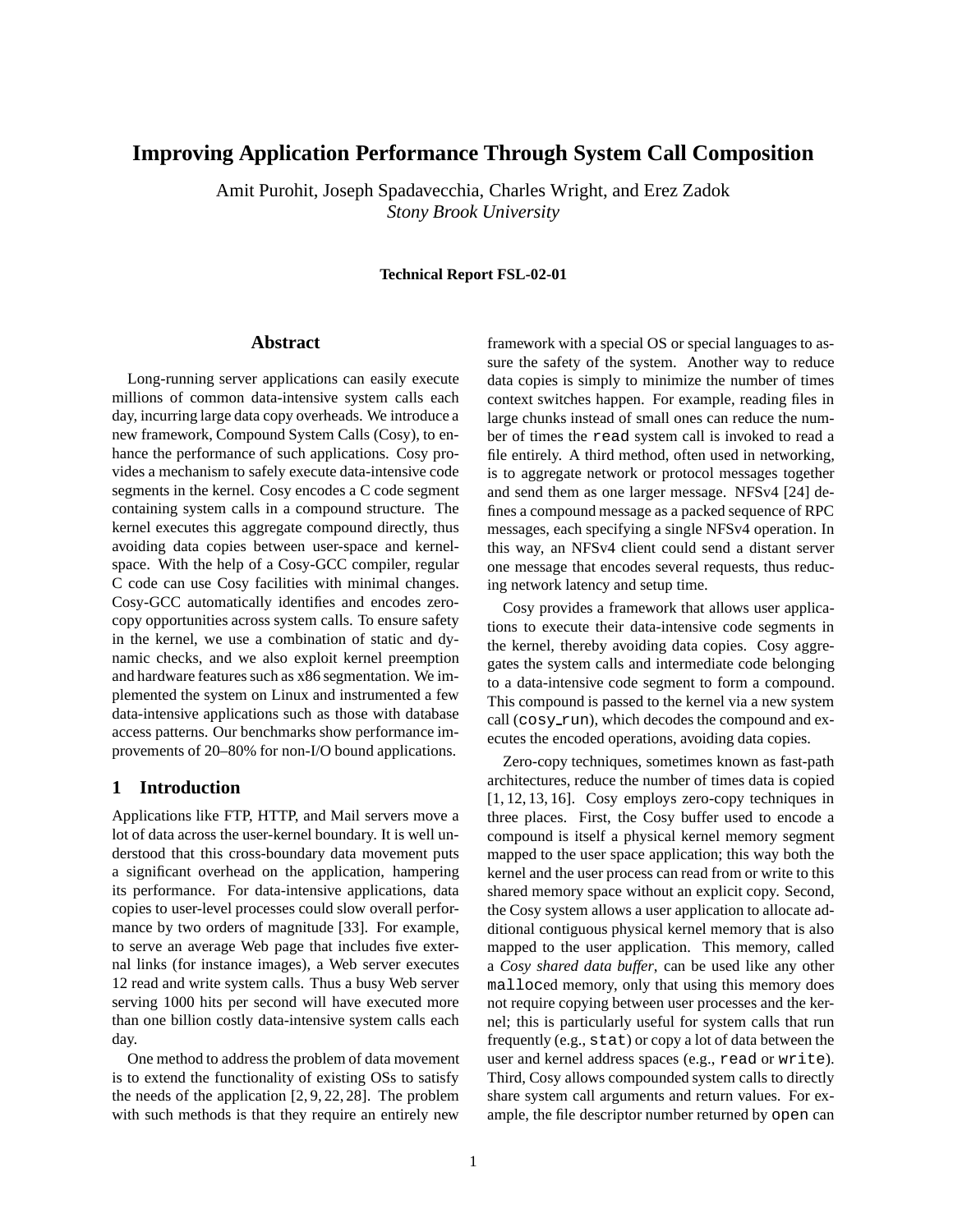# **Improving Application Performance Through System Call Composition**

Amit Purohit, Joseph Spadavecchia, Charles Wright, and Erez Zadok *Stony Brook University*

**Technical Report FSL-02-01**

### **Abstract**

Long-running server applications can easily execute millions of common data-intensive system calls each day, incurring large data copy overheads. We introduce a new framework, Compound System Calls (Cosy), to enhance the performance of such applications. Cosy provides a mechanism to safely execute data-intensive code segments in the kernel. Cosy encodes a C code segment containing system calls in a compound structure. The kernel executes this aggregate compound directly, thus avoiding data copies between user-space and kernelspace. With the help of a Cosy-GCC compiler, regular C code can use Cosy facilities with minimal changes. Cosy-GCC automatically identifies and encodes zerocopy opportunities across system calls. To ensure safety in the kernel, we use a combination of static and dynamic checks, and we also exploit kernel preemption and hardware features such as x86 segmentation. We implemented the system on Linux and instrumented a few data-intensive applications such as those with database access patterns. Our benchmarks show performance improvements of 20–80% for non-I/O bound applications.

#### **1 Introduction**

Applications like FTP, HTTP, and Mail servers move a lot of data across the user-kernel boundary. It is well understood that this cross-boundary data movement puts a significant overhead on the application, hampering its performance. For data-intensive applications, data copies to user-level processes could slow overall performance by two orders of magnitude [33]. For example, to serve an average Web page that includes five external links (for instance images), a Web server executes 12 read and write system calls. Thus a busy Web server serving 1000 hits per second will have executed more than one billion costly data-intensive system calls each day.

One method to address the problem of data movement is to extend the functionality of existing OSs to satisfy the needs of the application [2, 9, 22, 28]. The problem with such methods is that they require an entirely new

framework with a special OS or special languages to assure the safety of the system. Another way to reduce data copies is simply to minimize the number of times context switches happen. For example, reading files in large chunks instead of small ones can reduce the number of times the read system call is invoked to read a file entirely. A third method, often used in networking, is to aggregate network or protocol messages together and send them as one larger message. NFSv4 [24] defines a compound message as a packed sequence of RPC messages, each specifying a single NFSv4 operation. In this way, an NFSv4 client could send a distant server one message that encodes several requests, thus reducing network latency and setup time.

Cosy provides a framework that allows user applications to execute their data-intensive code segments in the kernel, thereby avoiding data copies. Cosy aggregates the system calls and intermediate code belonging to a data-intensive code segment to form a compound. This compound is passed to the kernel via a new system call ( $cosy_T$ un), which decodes the compound and executes the encoded operations, avoiding data copies.

Zero-copy techniques, sometimes known as fast-path architectures, reduce the number of times data is copied [1, 12, 13, 16]. Cosy employs zero-copy techniques in three places. First, the Cosy buffer used to encode a compound is itself a physical kernel memory segment mapped to the user space application; this way both the kernel and the user process can read from or write to this shared memory space without an explicit copy. Second, the Cosy system allows a user application to allocate additional contiguous physical kernel memory that is also mapped to the user application. This memory, called a *Cosy shared data buffer*, can be used like any other malloced memory, only that using this memory does not require copying between user processes and the kernel; this is particularly useful for system calls that run frequently (e.g., stat) or copy a lot of data between the user and kernel address spaces (e.g., read or write). Third, Cosy allows compounded system calls to directly share system call arguments and return values. For example, the file descriptor number returned by open can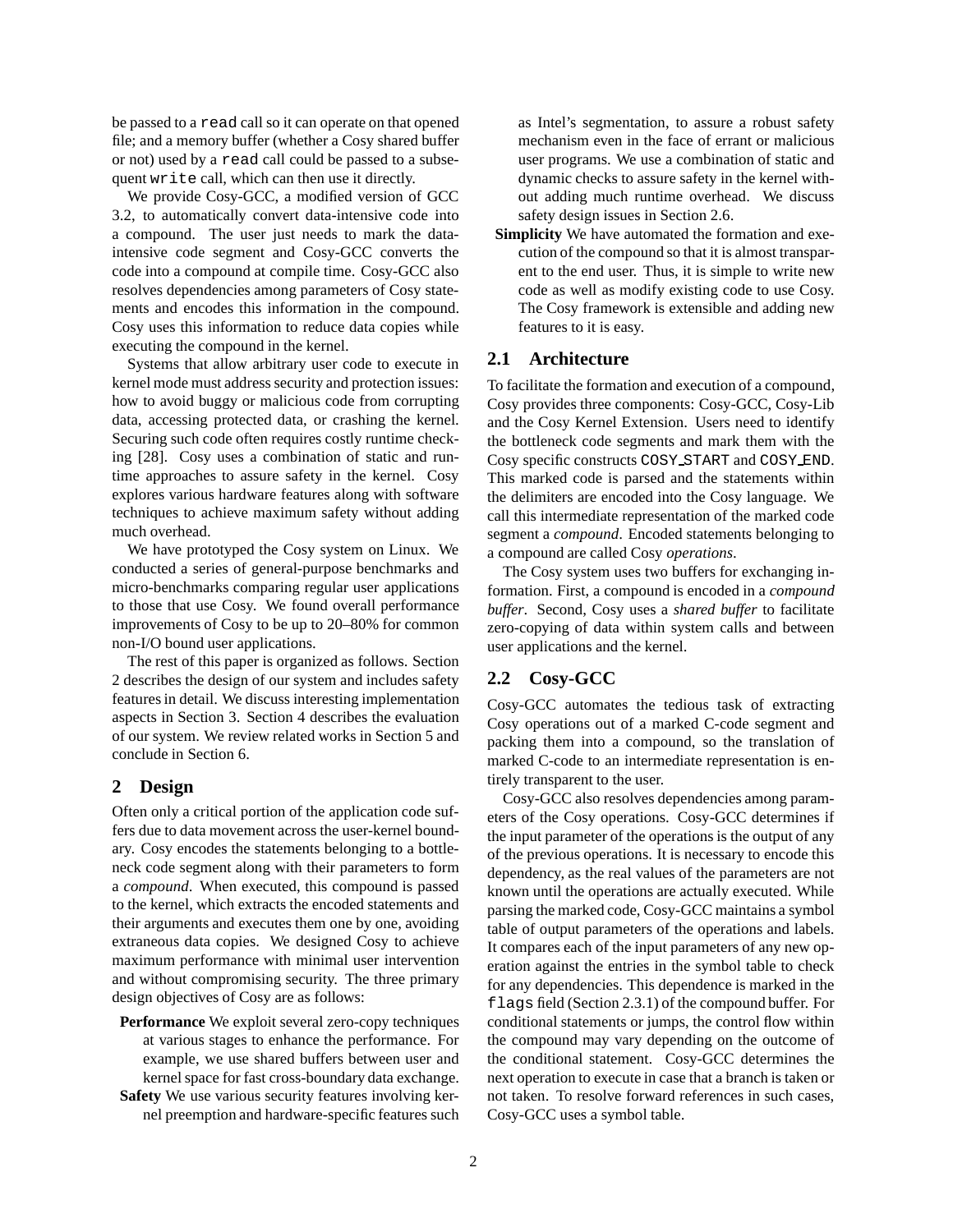be passed to a read call so it can operate on that opened file; and a memory buffer (whether a Cosy shared buffer or not) used by a read call could be passed to a subsequent write call, which can then use it directly.

We provide Cosy-GCC, a modified version of GCC 3.2, to automatically convert data-intensive code into a compound. The user just needs to mark the dataintensive code segment and Cosy-GCC converts the code into a compound at compile time. Cosy-GCC also resolves dependencies among parameters of Cosy statements and encodes this information in the compound. Cosy uses this information to reduce data copies while executing the compound in the kernel.

Systems that allow arbitrary user code to execute in kernel mode must address security and protection issues: how to avoid buggy or malicious code from corrupting data, accessing protected data, or crashing the kernel. Securing such code often requires costly runtime checking [28]. Cosy uses a combination of static and runtime approaches to assure safety in the kernel. Cosy explores various hardware features along with software techniques to achieve maximum safety without adding much overhead.

We have prototyped the Cosy system on Linux. We conducted a series of general-purpose benchmarks and micro-benchmarks comparing regular user applications to those that use Cosy. We found overall performance improvements of Cosy to be up to 20–80% for common non-I/O bound user applications.

The rest of this paper is organized as follows. Section 2 describes the design of our system and includes safety features in detail. We discuss interesting implementation aspects in Section 3. Section 4 describes the evaluation of our system. We review related works in Section 5 and conclude in Section 6.

#### **2 Design**

Often only a critical portion of the application code suffers due to data movement across the user-kernel boundary. Cosy encodes the statements belonging to a bottleneck code segment along with their parameters to form a *compound*. When executed, this compound is passed to the kernel, which extracts the encoded statements and their arguments and executes them one by one, avoiding extraneous data copies. We designed Cosy to achieve maximum performance with minimal user intervention and without compromising security. The three primary design objectives of Cosy are as follows:

- **Performance** We exploit several zero-copy techniques at various stages to enhance the performance. For example, we use shared buffers between user and kernel space for fast cross-boundary data exchange.
- **Safety** We use various security features involving kernel preemption and hardware-specific features such

as Intel's segmentation, to assure a robust safety mechanism even in the face of errant or malicious user programs. We use a combination of static and dynamic checks to assure safety in the kernel without adding much runtime overhead. We discuss safety design issues in Section 2.6.

**Simplicity** We have automated the formation and execution of the compound so that it is almost transparent to the end user. Thus, it is simple to write new code as well as modify existing code to use Cosy. The Cosy framework is extensible and adding new features to it is easy.

### **2.1 Architecture**

To facilitate the formation and execution of a compound, Cosy provides three components: Cosy-GCC, Cosy-Lib and the Cosy Kernel Extension. Users need to identify the bottleneck code segments and mark them with the Cosy specific constructs COSY START and COSY END. This marked code is parsed and the statements within the delimiters are encoded into the Cosy language. We call this intermediate representation of the marked code segment a *compound*. Encoded statements belonging to a compound are called Cosy *operations*.

The Cosy system uses two buffers for exchanging information. First, a compound is encoded in a *compound buffer*. Second, Cosy uses a *shared buffer* to facilitate zero-copying of data within system calls and between user applications and the kernel.

# **2.2 Cosy-GCC**

Cosy-GCC automates the tedious task of extracting Cosy operations out of a marked C-code segment and packing them into a compound, so the translation of marked C-code to an intermediate representation is entirely transparent to the user.

Cosy-GCC also resolves dependencies among parameters of the Cosy operations. Cosy-GCC determines if the input parameter of the operations is the output of any of the previous operations. It is necessary to encode this dependency, as the real values of the parameters are not known until the operations are actually executed. While parsing the marked code, Cosy-GCC maintains a symbol table of output parameters of the operations and labels. It compares each of the input parameters of any new operation against the entries in the symbol table to check for any dependencies. This dependence is marked in the flags field (Section 2.3.1) of the compound buffer. For conditional statements or jumps, the control flow within the compound may vary depending on the outcome of the conditional statement. Cosy-GCC determines the next operation to execute in case that a branch is taken or not taken. To resolve forward references in such cases, Cosy-GCC uses a symbol table.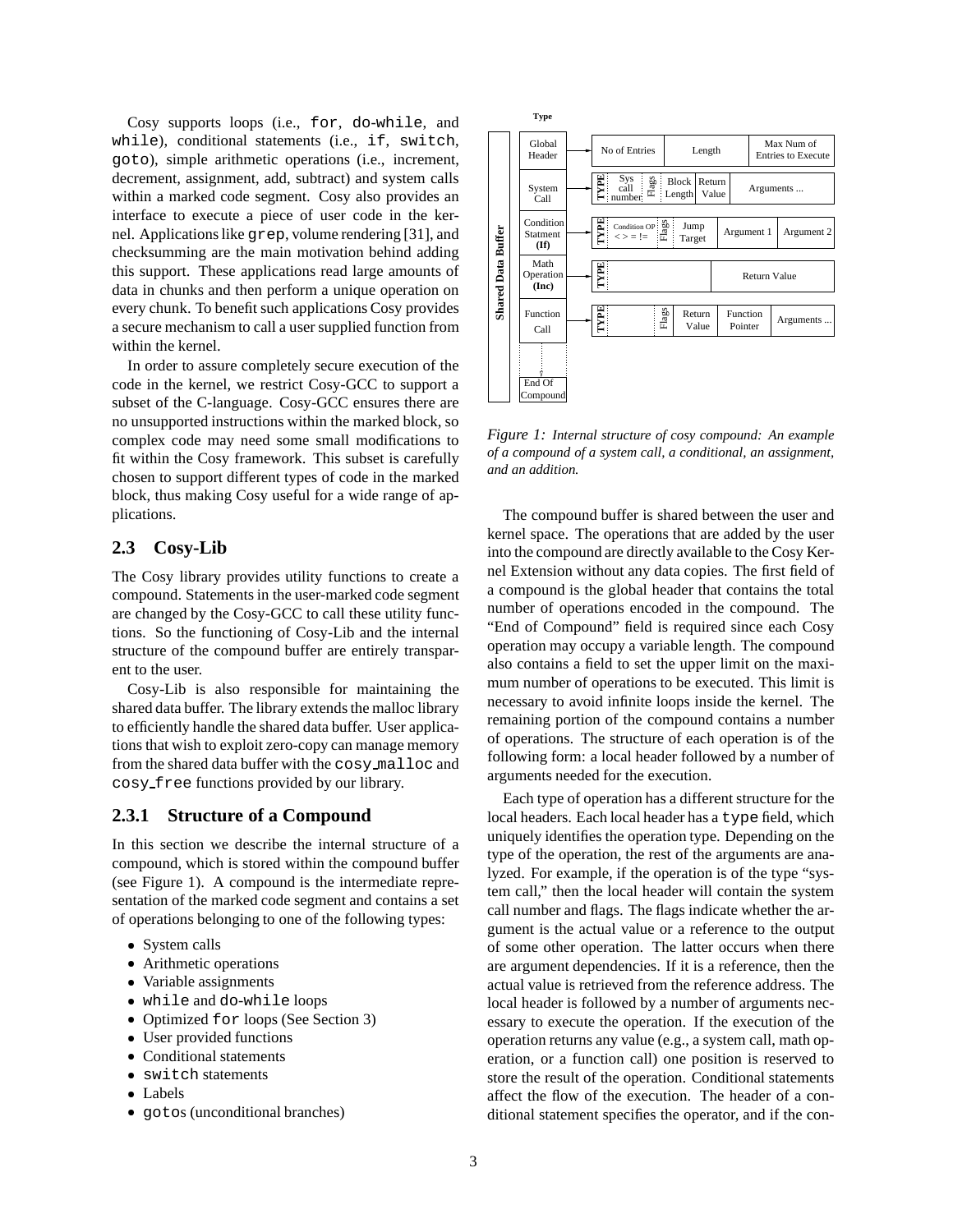Cosy supports loops (i.e., for, do-while, and while), conditional statements (i.e., if, switch, goto), simple arithmetic operations (i.e., increment, decrement, assignment, add, subtract) and system calls within a marked code segment. Cosy also provides an interface to execute a piece of user code in the kernel. Applicationslike grep, volume rendering [31], and checksumming are the main motivation behind adding this support. These applications read large amounts of data in chunks and then perform a unique operation on every chunk. To benefit such applications Cosy provides a secure mechanism to call a user supplied function from within the kernel.

In order to assure completely secure execution of the code in the kernel, we restrict Cosy-GCC to support a subset of the C-language. Cosy-GCC ensures there are no unsupported instructions within the marked block, so complex code may need some small modifications to fit within the Cosy framework. This subset is carefully chosen to support different types of code in the marked block, thus making Cosy useful for a wide range of applications.

# **2.3 Cosy-Lib**

The Cosy library provides utility functions to create a compound. Statements in the user-marked code segment are changed by the Cosy-GCC to call these utility functions. So the functioning of Cosy-Lib and the internal structure of the compound buffer are entirely transparent to the user.

Cosy-Lib is also responsible for maintaining the shared data buffer. The library extends the malloc library to efficiently handle the shared data buffer. User applications that wish to exploit zero-copy can manage memory from the shared data buffer with the cosy malloc and cosy free functions provided by our library.

### **2.3.1 Structure of a Compound**

In this section we describe the internal structure of a compound, which is stored within the compound buffer (see Figure 1). A compound is the intermediate representation of the marked code segment and contains a set of operations belonging to one of the following types:

- System calls
- Arithmetic operations
- Variable assignments
- while and do-while loops
- Optimized for loops (See Section 3)
- User provided functions
- Conditional statements
- switch statements
- Labels
- gotos (unconditional branches)



*Figure 1: Internal structure of cosy compound: An example of a compound of a system call, a conditional, an assignment, and an addition.*

The compound buffer is shared between the user and kernel space. The operations that are added by the user into the compound are directly available to the Cosy Kernel Extension without any data copies. The first field of a compound is the global header that contains the total number of operations encoded in the compound. The "End of Compound" field is required since each Cosy operation may occupy a variable length. The compound also contains a field to set the upper limit on the maximum number of operations to be executed. This limit is necessary to avoid infinite loops inside the kernel. The remaining portion of the compound contains a number of operations. The structure of each operation is of the following form: a local header followed by a number of arguments needed for the execution.

Each type of operation has a different structure for the local headers. Each local header has a type field, which uniquely identifies the operation type. Depending on the type of the operation, the rest of the arguments are analyzed. For example, if the operation is of the type "system call," then the local header will contain the system call number and flags. The flags indicate whether the argument is the actual value or a reference to the output of some other operation. The latter occurs when there are argument dependencies. If it is a reference, then the actual value is retrieved from the reference address. The local header is followed by a number of arguments necessary to execute the operation. If the execution of the operation returns any value (e.g., a system call, math operation, or a function call) one position is reserved to store the result of the operation. Conditional statements affect the flow of the execution. The header of a conditional statement specifies the operator, and if the con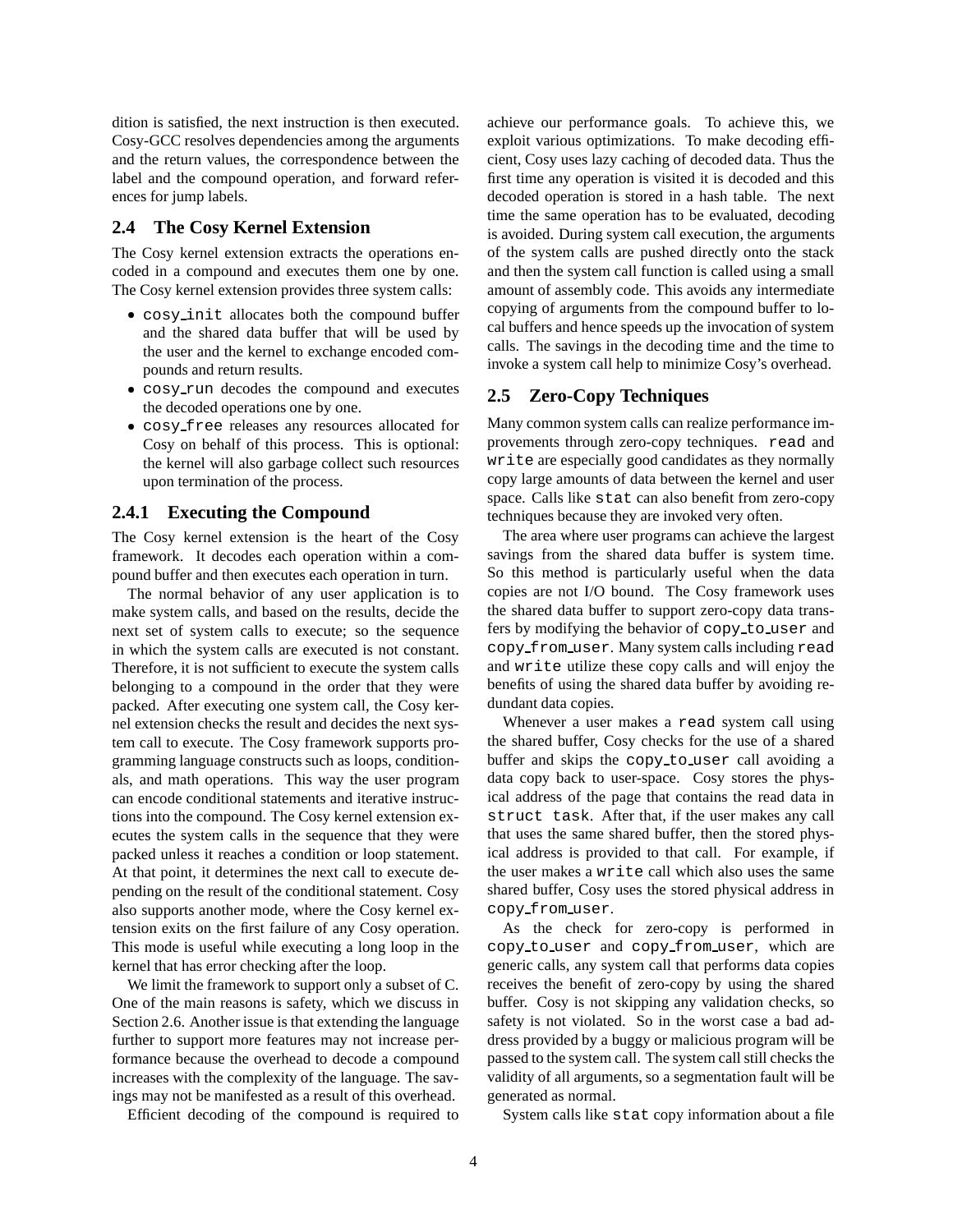dition is satisfied, the next instruction is then executed. Cosy-GCC resolves dependencies among the arguments and the return values, the correspondence between the label and the compound operation, and forward references for jump labels.

# **2.4 The Cosy Kernel Extension**

The Cosy kernel extension extracts the operations encoded in a compound and executes them one by one. The Cosy kernel extension provides three system calls:

- cosy init allocates both the compound buffer and the shared data buffer that will be used by the user and the kernel to exchange encoded compounds and return results.
- cosy run decodes the compound and executes the decoded operations one by one.
- cosy free releases any resources allocated for Cosy on behalf of this process. This is optional: the kernel will also garbage collect such resources upon termination of the process.

### **2.4.1 Executing the Compound**

The Cosy kernel extension is the heart of the Cosy framework. It decodes each operation within a compound buffer and then executes each operation in turn.

The normal behavior of any user application is to make system calls, and based on the results, decide the next set of system calls to execute; so the sequence in which the system calls are executed is not constant. Therefore, it is not sufficient to execute the system calls belonging to a compound in the order that they were packed. After executing one system call, the Cosy kernel extension checks the result and decides the next system call to execute. The Cosy framework supports programming language constructs such as loops, conditionals, and math operations. This way the user program can encode conditional statements and iterative instructions into the compound. The Cosy kernel extension executes the system calls in the sequence that they were packed unless it reaches a condition or loop statement. At that point, it determines the next call to execute depending on the result of the conditional statement. Cosy also supports another mode, where the Cosy kernel extension exits on the first failure of any Cosy operation. This mode is useful while executing a long loop in the kernel that has error checking after the loop.

We limit the framework to support only a subset of C. One of the main reasons is safety, which we discuss in Section 2.6. Another issue is that extending the language further to support more features may not increase performance because the overhead to decode a compound increases with the complexity of the language. The savings may not be manifested as a result of this overhead.

Efficient decoding of the compound is required to

achieve our performance goals. To achieve this, we exploit various optimizations. To make decoding efficient, Cosy uses lazy caching of decoded data. Thus the first time any operation is visited it is decoded and this decoded operation is stored in a hash table. The next time the same operation has to be evaluated, decoding is avoided. During system call execution, the arguments of the system calls are pushed directly onto the stack and then the system call function is called using a small amount of assembly code. This avoids any intermediate copying of arguments from the compound buffer to local buffers and hence speeds up the invocation of system calls. The savings in the decoding time and the time to invoke a system call help to minimize Cosy's overhead.

### **2.5 Zero-Copy Techniques**

Many common system calls can realize performance improvements through zero-copy techniques. read and write are especially good candidates as they normally copy large amounts of data between the kernel and user space. Calls like stat can also benefit from zero-copy techniques because they are invoked very often.

The area where user programs can achieve the largest savings from the shared data buffer is system time. So this method is particularly useful when the data copies are not I/O bound. The Cosy framework uses the shared data buffer to support zero-copy data transfers by modifying the behavior of copy to user and copy from user. Many system calls including read and write utilize these copy calls and will enjoy the benefits of using the shared data buffer by avoiding redundant data copies.

Whenever a user makes a read system call using the shared buffer, Cosy checks for the use of a shared buffer and skips the copy to user call avoiding a data copy back to user-space. Cosy stores the physical address of the page that contains the read data in struct task. After that, if the user makes any call that uses the same shared buffer, then the stored physical address is provided to that call. For example, if the user makes a write call which also uses the same shared buffer, Cosy uses the stored physical address in copy from user.

As the check for zero-copy is performed in copy to user and copy from user, which are generic calls, any system call that performs data copies receives the benefit of zero-copy by using the shared buffer. Cosy is not skipping any validation checks, so safety is not violated. So in the worst case a bad address provided by a buggy or malicious program will be passed to the system call. The system call still checks the validity of all arguments, so a segmentation fault will be generated as normal.

System calls like stat copy information about a file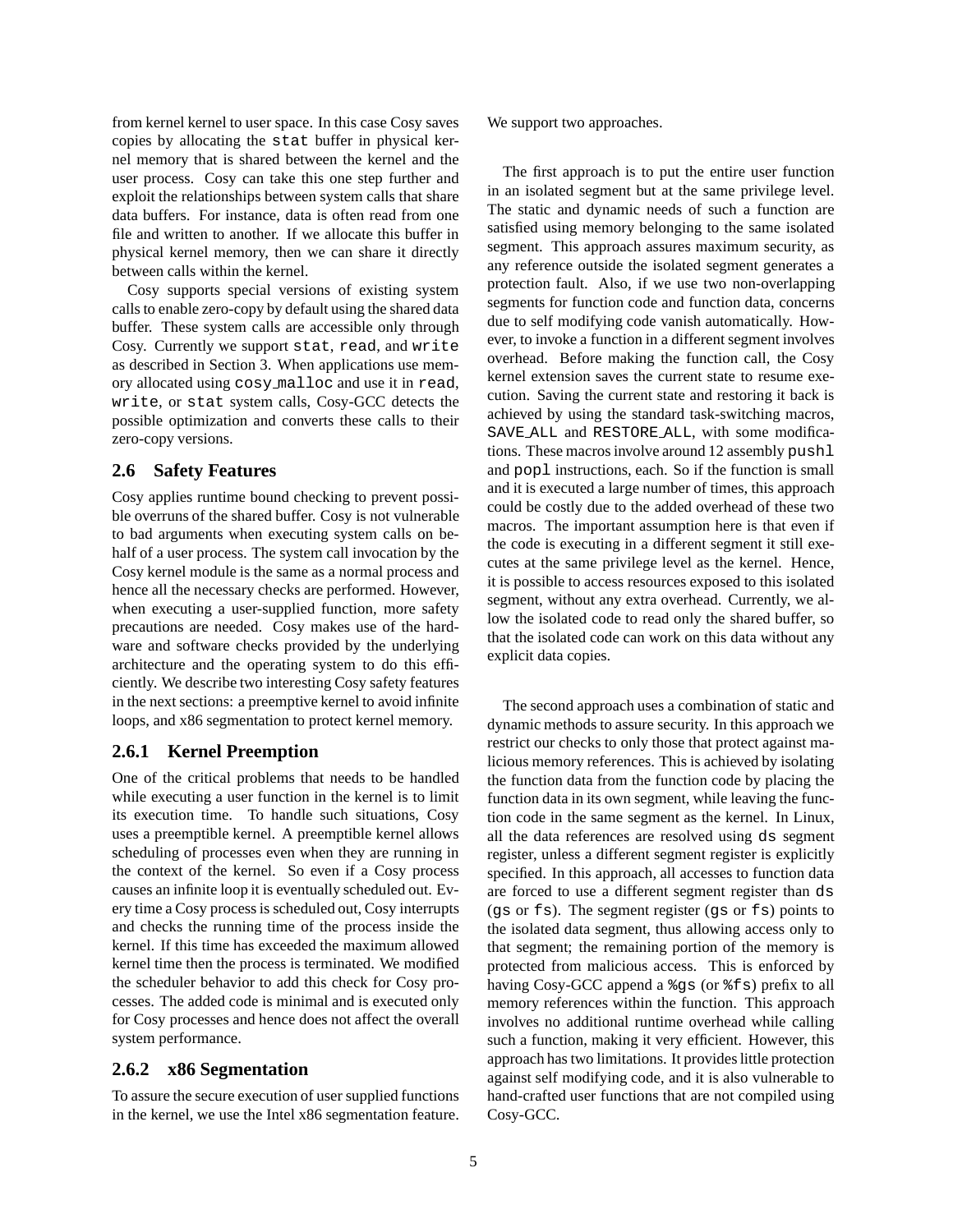from kernel kernel to user space. In this case Cosy saves copies by allocating the stat buffer in physical kernel memory that is shared between the kernel and the user process. Cosy can take this one step further and exploit the relationships between system calls that share data buffers. For instance, data is often read from one file and written to another. If we allocate this buffer in physical kernel memory, then we can share it directly between calls within the kernel.

Cosy supports special versions of existing system calls to enable zero-copy by default using the shared data buffer. These system calls are accessible only through Cosy. Currently we support stat, read, and write as described in Section 3. When applications use memory allocated using cosy malloc and use it in read, write, or stat system calls, Cosy-GCC detects the possible optimization and converts these calls to their zero-copy versions.

### **2.6 Safety Features**

Cosy applies runtime bound checking to prevent possible overruns of the shared buffer. Cosy is not vulnerable to bad arguments when executing system calls on behalf of a user process. The system call invocation by the Cosy kernel module is the same as a normal process and hence all the necessary checks are performed. However, when executing a user-supplied function, more safety precautions are needed. Cosy makes use of the hardware and software checks provided by the underlying architecture and the operating system to do this efficiently. We describe two interesting Cosy safety features in the next sections: a preemptive kernel to avoid infinite loops, and x86 segmentation to protect kernel memory.

#### **2.6.1 Kernel Preemption**

One of the critical problems that needs to be handled while executing a user function in the kernel is to limit its execution time. To handle such situations, Cosy uses a preemptible kernel. A preemptible kernel allows scheduling of processes even when they are running in the context of the kernel. So even if a Cosy process causes an infinite loop it is eventually scheduled out. Every time a Cosy processis scheduled out, Cosy interrupts and checks the running time of the process inside the kernel. If this time has exceeded the maximum allowed kernel time then the process is terminated. We modified the scheduler behavior to add this check for Cosy processes. The added code is minimal and is executed only for Cosy processes and hence does not affect the overall system performance.

#### **2.6.2 x86 Segmentation**

To assure the secure execution of user supplied functions in the kernel, we use the Intel x86 segmentation feature.

We support two approaches.

The first approach is to put the entire user function in an isolated segment but at the same privilege level. The static and dynamic needs of such a function are satisfied using memory belonging to the same isolated segment. This approach assures maximum security, as any reference outside the isolated segment generates a protection fault. Also, if we use two non-overlapping segments for function code and function data, concerns due to self modifying code vanish automatically. However, to invoke a function in a different segment involves overhead. Before making the function call, the Cosy kernel extension saves the current state to resume execution. Saving the current state and restoring it back is achieved by using the standard task-switching macros, SAVE ALL and RESTORE ALL, with some modifications. These macros involve around 12 assembly pushl and popl instructions, each. So if the function is small and it is executed a large number of times, this approach could be costly due to the added overhead of these two macros. The important assumption here is that even if the code is executing in a different segment it still executes at the same privilege level as the kernel. Hence, it is possible to access resources exposed to this isolated segment, without any extra overhead. Currently, we allow the isolated code to read only the shared buffer, so that the isolated code can work on this data without any explicit data copies.

The second approach uses a combination of static and dynamic methods to assure security. In this approach we restrict our checks to only those that protect against malicious memory references. This is achieved by isolating the function data from the function code by placing the function data in its own segment, while leaving the function code in the same segment as the kernel. In Linux, all the data references are resolved using ds segment register, unless a different segment register is explicitly specified. In this approach, all accesses to function data are forced to use a different segment register than ds (gs or fs). The segment register (gs or fs) points to the isolated data segment, thus allowing access only to that segment; the remaining portion of the memory is protected from malicious access. This is enforced by having Cosy-GCC append a %gs (or %fs) prefix to all memory references within the function. This approach involves no additional runtime overhead while calling such a function, making it very efficient. However, this approach has two limitations. It provides little protection against self modifying code, and it is also vulnerable to hand-crafted user functions that are not compiled using Cosy-GCC.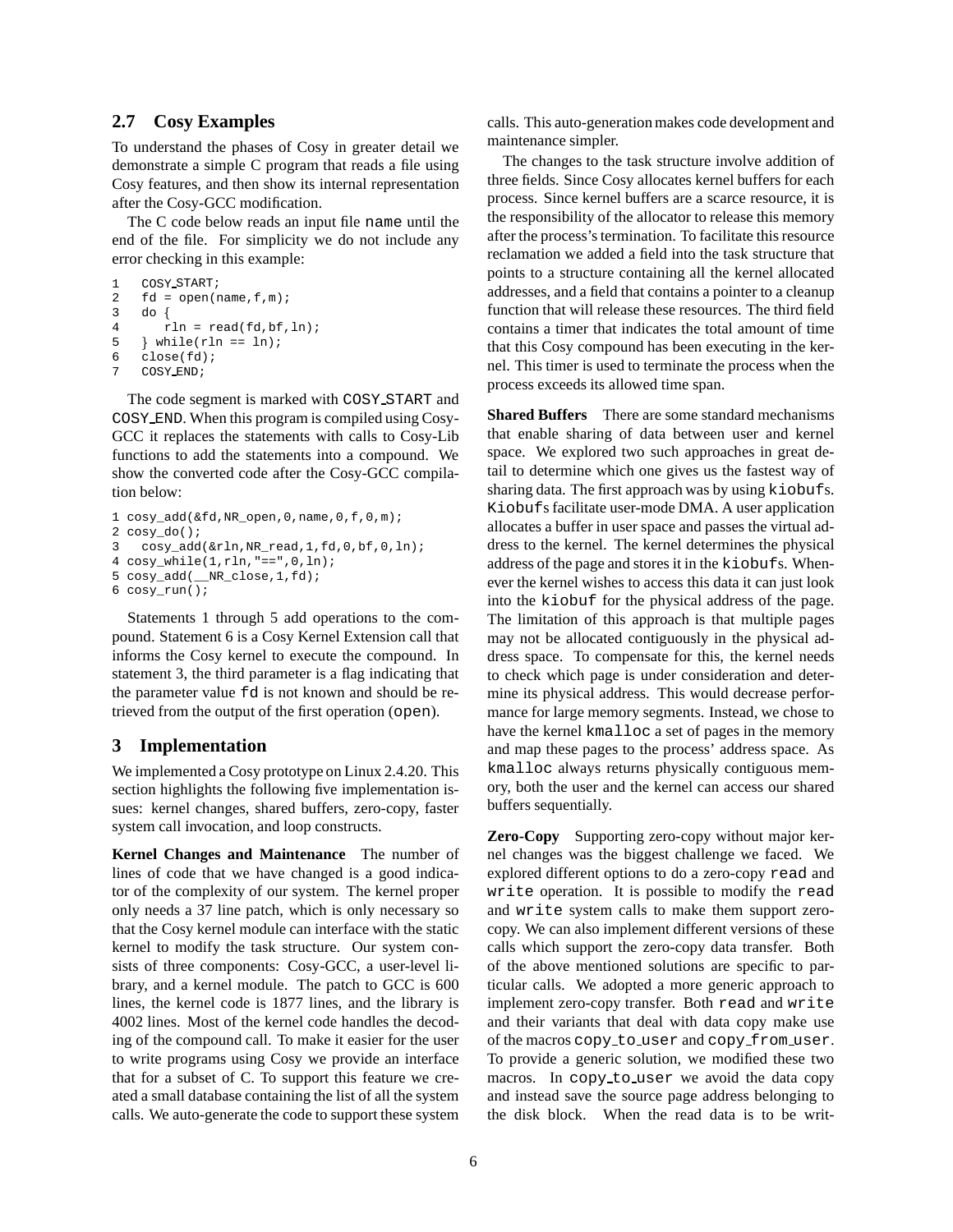# **2.7 Cosy Examples**

To understand the phases of Cosy in greater detail we demonstrate a simple C program that reads a file using Cosy features, and then show its internal representation after the Cosy-GCC modification.

The C code below reads an input file name until the end of the file. For simplicity we do not include any error checking in this example:

```
1 COSY START;
2 fd = open(name, f, m);3 do 
4 r \ln = \text{read}(\text{fd}, \text{bf}, \ln);5 \quad \} while(rln == ln);
6 \text{ close}(fd);7 COSY END;
```
The code segment is marked with COSY START and COSY END. When this program is compiled using Cosy-GCC it replaces the statements with calls to Cosy-Lib functions to add the statements into a compound. We show the converted code after the Cosy-GCC compilation below:

```
1 cosy_add(&fd,NR_open,0,name,0,f,0,m);
2 cosy_do();
3 cosy_add(&rln,NR_read,1,fd,0,bf,0,ln);
4 cosy_while(1,rln,"==",0,ln);
5 cosy_add(__NR_close,1,fd);
6 cosy_run();
```
Statements 1 through 5 add operations to the compound. Statement 6 is a Cosy Kernel Extension call that informs the Cosy kernel to execute the compound. In statement 3, the third parameter is a flag indicating that the parameter value fd is not known and should be retrieved from the output of the first operation (open).

### **3 Implementation**

We implemented a Cosy prototype on Linux 2.4.20. This section highlights the following five implementation issues: kernel changes, shared buffers, zero-copy, faster system call invocation, and loop constructs.

**Kernel Changes and Maintenance** The number of lines of code that we have changed is a good indicator of the complexity of our system. The kernel proper only needs a 37 line patch, which is only necessary so that the Cosy kernel module can interface with the static kernel to modify the task structure. Our system consists of three components: Cosy-GCC, a user-level library, and a kernel module. The patch to GCC is 600 lines, the kernel code is 1877 lines, and the library is 4002 lines. Most of the kernel code handles the decoding of the compound call. To make it easier for the user to write programs using Cosy we provide an interface that for a subset of C. To support this feature we created a small database containing the list of all the system calls. We auto-generate the code to support these system calls. This auto-generation makes code development and maintenance simpler.

The changes to the task structure involve addition of three fields. Since Cosy allocates kernel buffers for each process. Since kernel buffers are a scarce resource, it is the responsibility of the allocator to release this memory after the process's termination. To facilitate this resource reclamation we added a field into the task structure that points to a structure containing all the kernel allocated addresses, and a field that contains a pointer to a cleanup function that will release these resources. The third field contains a timer that indicates the total amount of time that this Cosy compound has been executing in the kernel. This timer is used to terminate the process when the process exceeds its allowed time span.

**Shared Buffers** There are some standard mechanisms that enable sharing of data between user and kernel space. We explored two such approaches in great detail to determine which one gives us the fastest way of sharing data. The first approach was by using kiobufs. Kiobufs facilitate user-mode DMA. A user application allocates a buffer in user space and passes the virtual address to the kernel. The kernel determines the physical address of the page and stores it in the kiobufs. Whenever the kernel wishes to access this data it can just look into the kiobuf for the physical address of the page. The limitation of this approach is that multiple pages may not be allocated contiguously in the physical address space. To compensate for this, the kernel needs to check which page is under consideration and determine its physical address. This would decrease performance for large memory segments. Instead, we chose to have the kernel kmalloc a set of pages in the memory and map these pages to the process' address space. As kmalloc always returns physically contiguous memory, both the user and the kernel can access our shared buffers sequentially.

**Zero-Copy** Supporting zero-copy without major kernel changes was the biggest challenge we faced. We explored different options to do a zero-copy read and write operation. It is possible to modify the read and write system calls to make them support zerocopy. We can also implement different versions of these calls which support the zero-copy data transfer. Both of the above mentioned solutions are specific to particular calls. We adopted a more generic approach to implement zero-copy transfer. Both read and write and their variants that deal with data copy make use of the macros copy to user and copy from user. To provide a generic solution, we modified these two macros. In copy to user we avoid the data copy and instead save the source page address belonging to the disk block. When the read data is to be writ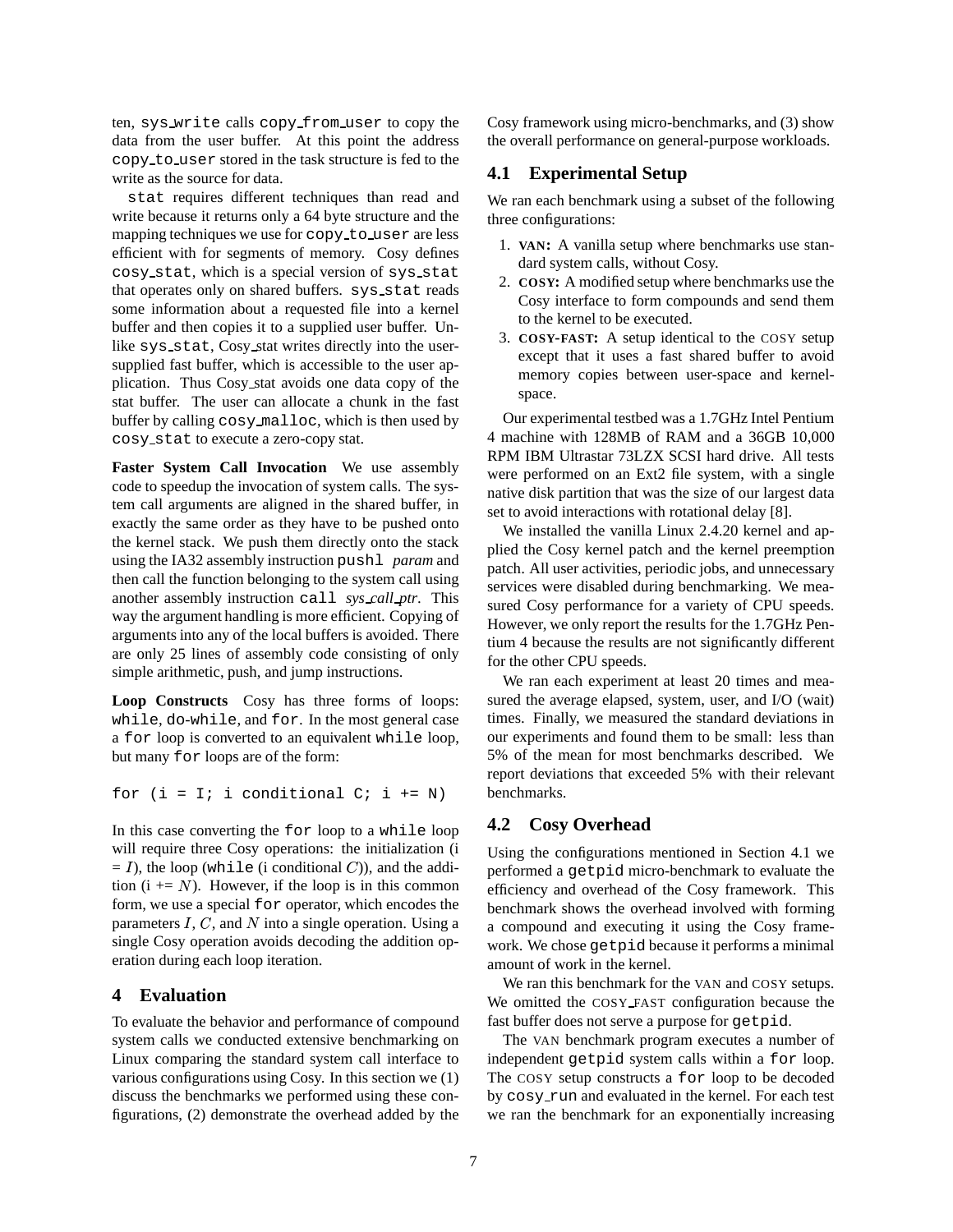ten, sys write calls copy from user to copy the data from the user buffer. At this point the address copy to user stored in the task structure is fed to the write as the source for data.

stat requires different techniques than read and write because it returns only a 64 byte structure and the mapping techniques we use for copy\_to\_user are less efficient with for segments of memory. Cosy defines cosy stat, which is a special version of sys stat that operates only on shared buffers. sys\_stat reads some information about a requested file into a kernel buffer and then copies it to a supplied user buffer. Unlike sys stat, Cosy stat writes directly into the usersupplied fast buffer, which is accessible to the user application. Thus Cosy stat avoids one data copy of the stat buffer. The user can allocate a chunk in the fast buffer by calling cosy malloc, which is then used by cosy stat to execute a zero-copy stat.

**Faster System Call Invocation** We use assembly code to speedup the invocation of system calls. The system call arguments are aligned in the shared buffer, in exactly the same order as they have to be pushed onto the kernel stack. We push them directly onto the stack using the IA32 assembly instruction pushl *param* and then call the function belonging to the system call using another assembly instruction call *sys call ptr*. This way the argument handling is more efficient. Copying of arguments into any of the local buffers is avoided. There are only 25 lines of assembly code consisting of only simple arithmetic, push, and jump instructions.

**Loop Constructs** Cosy has three forms of loops: while, do-while, and for. In the most general case a for loop is converted to an equivalent while loop, but many for loops are of the form:

for  $(i = I; i \text{ conditional } C; i \text{ += } N)$ 

In this case converting the for loop to a while loop will require three Cosy operations: the initialization (i  $= I$ ), the loop (while (i conditional C)), and the addition  $(i + = N)$ . However, if the loop is in this common form, we use a special for operator, which encodes the parameters  $I, C$ , and  $N$  into a single operation. Using a single Cosy operation avoids decoding the addition operation during each loop iteration.

### **4 Evaluation**

To evaluate the behavior and performance of compound system calls we conducted extensive benchmarking on Linux comparing the standard system call interface to various configurations using Cosy. In this section we (1) discuss the benchmarks we performed using these configurations, (2) demonstrate the overhead added by the Cosy framework using micro-benchmarks, and (3) show the overall performance on general-purpose workloads.

# **4.1 Experimental Setup**

We ran each benchmark using a subset of the following three configurations:

- 1. **VAN:** A vanilla setup where benchmarks use standard system calls, without Cosy.
- 2. **COSY:** A modified setup where benchmarks use the Cosy interface to form compounds and send them to the kernel to be executed.
- 3. **COSY-FAST:** A setup identical to the COSY setup except that it uses a fast shared buffer to avoid memory copies between user-space and kernelspace.

Our experimental testbed was a 1.7GHz Intel Pentium 4 machine with 128MB of RAM and a 36GB 10,000 RPM IBM Ultrastar 73LZX SCSI hard drive. All tests were performed on an Ext2 file system, with a single native disk partition that was the size of our largest data set to avoid interactions with rotational delay [8].

We installed the vanilla Linux 2.4.20 kernel and applied the Cosy kernel patch and the kernel preemption patch. All user activities, periodic jobs, and unnecessary services were disabled during benchmarking. We measured Cosy performance for a variety of CPU speeds. However, we only report the results for the 1.7GHz Pentium 4 because the results are not significantly different for the other CPU speeds.

We ran each experiment at least 20 times and measured the average elapsed, system, user, and I/O (wait) times. Finally, we measured the standard deviations in our experiments and found them to be small: less than 5% of the mean for most benchmarks described. We report deviations that exceeded 5% with their relevant benchmarks.

#### **4.2 Cosy Overhead**

Using the configurations mentioned in Section 4.1 we performed a getpid micro-benchmark to evaluate the efficiency and overhead of the Cosy framework. This benchmark shows the overhead involved with forming a compound and executing it using the Cosy framework. We chose getpid because it performs a minimal amount of work in the kernel.

We ran this benchmark for the VAN and COSY setups. We omitted the COSY FAST configuration because the fast buffer does not serve a purpose for getpid.

The VAN benchmark program executes a number of independent getpid system calls within a for loop. The COSY setup constructs a for loop to be decoded by cosy run and evaluated in the kernel. For each test we ran the benchmark for an exponentially increasing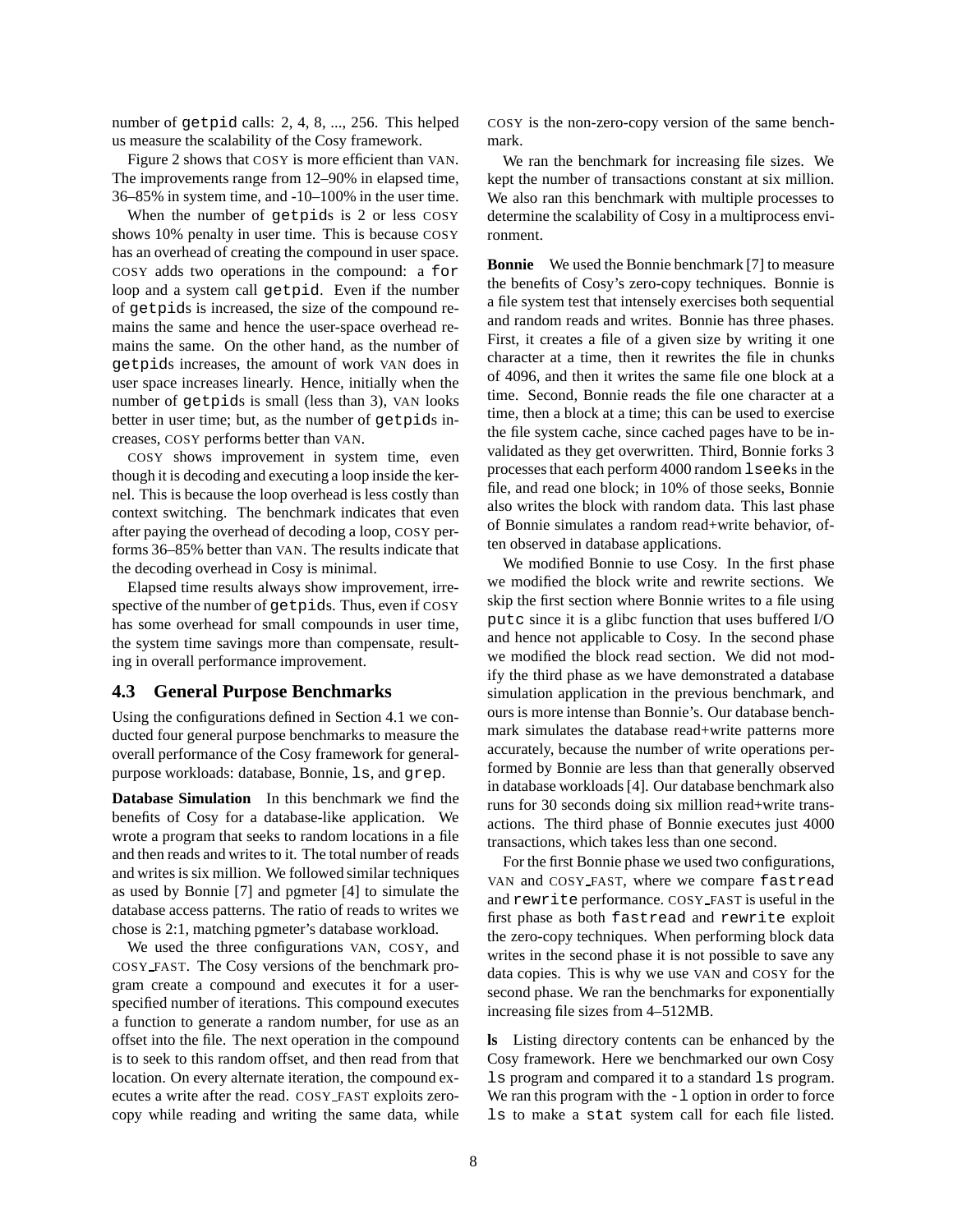number of getpid calls: 2, 4, 8, ..., 256. This helped us measure the scalability of the Cosy framework.

Figure 2 shows that COSY is more efficient than VAN. The improvements range from 12–90% in elapsed time, 36–85% in system time, and -10–100% in the user time.

When the number of getpids is 2 or less COSY shows 10% penalty in user time. This is because COSY has an overhead of creating the compound in user space. COSY adds two operations in the compound: a for loop and a system call getpid. Even if the number of getpids is increased, the size of the compound remains the same and hence the user-space overhead remains the same. On the other hand, as the number of getpids increases, the amount of work VAN does in user space increases linearly. Hence, initially when the number of getpids is small (less than 3), VAN looks better in user time; but, as the number of getpids increases, COSY performs better than VAN.

COSY shows improvement in system time, even though it is decoding and executing a loop inside the kernel. This is because the loop overhead is less costly than context switching. The benchmark indicates that even after paying the overhead of decoding a loop, COSY performs 36–85% better than VAN. The results indicate that the decoding overhead in Cosy is minimal.

Elapsed time results always show improvement, irrespective of the number of getpids. Thus, even if COSY has some overhead for small compounds in user time, the system time savings more than compensate, resulting in overall performance improvement.

### **4.3 General Purpose Benchmarks**

Using the configurations defined in Section 4.1 we conducted four general purpose benchmarks to measure the overall performance of the Cosy framework for generalpurpose workloads: database, Bonnie, ls, and grep.

**Database Simulation** In this benchmark we find the benefits of Cosy for a database-like application. We wrote a program that seeks to random locations in a file and then reads and writes to it. The total number of reads and writes is six million. We followed similar techniques as used by Bonnie [7] and pgmeter [4] to simulate the database access patterns. The ratio of reads to writes we chose is 2:1, matching pgmeter's database workload.

We used the three configurations VAN, COSY, and COSY FAST. The Cosy versions of the benchmark program create a compound and executes it for a userspecified number of iterations. This compound executes a function to generate a random number, for use as an offset into the file. The next operation in the compound is to seek to this random offset, and then read from that location. On every alternate iteration, the compound executes a write after the read. COSY FAST exploits zerocopy while reading and writing the same data, while COSY is the non-zero-copy version of the same benchmark.

We ran the benchmark for increasing file sizes. We kept the number of transactions constant at six million. We also ran this benchmark with multiple processes to determine the scalability of Cosy in a multiprocess environment.

**Bonnie** We used the Bonnie benchmark [7] to measure the benefits of Cosy's zero-copy techniques. Bonnie is a file system test that intensely exercises both sequential and random reads and writes. Bonnie has three phases. First, it creates a file of a given size by writing it one character at a time, then it rewrites the file in chunks of 4096, and then it writes the same file one block at a time. Second, Bonnie reads the file one character at a time, then a block at a time; this can be used to exercise the file system cache, since cached pages have to be invalidated as they get overwritten. Third, Bonnie forks 3 processesthat each perform 4000 random lseeks in the file, and read one block; in 10% of those seeks, Bonnie also writes the block with random data. This last phase of Bonnie simulates a random read+write behavior, often observed in database applications.

We modified Bonnie to use Cosy. In the first phase we modified the block write and rewrite sections. We skip the first section where Bonnie writes to a file using putc since it is a glibc function that uses buffered I/O and hence not applicable to Cosy. In the second phase we modified the block read section. We did not modify the third phase as we have demonstrated a database simulation application in the previous benchmark, and ours is more intense than Bonnie's. Our database benchmark simulates the database read+write patterns more accurately, because the number of write operations performed by Bonnie are less than that generally observed in database workloads [4]. Our database benchmark also runs for 30 seconds doing six million read+write transactions. The third phase of Bonnie executes just 4000 transactions, which takes less than one second.

For the first Bonnie phase we used two configurations, VAN and COSY FAST, where we compare fastread and rewrite performance. COSY FAST is useful in the first phase as both fastread and rewrite exploit the zero-copy techniques. When performing block data writes in the second phase it is not possible to save any data copies. This is why we use VAN and COSY for the second phase. We ran the benchmarks for exponentially increasing file sizes from 4–512MB.

**ls** Listing directory contents can be enhanced by the Cosy framework. Here we benchmarked our own Cosy ls program and compared it to a standard ls program. We ran this program with the  $-1$  option in order to force ls to make a stat system call for each file listed.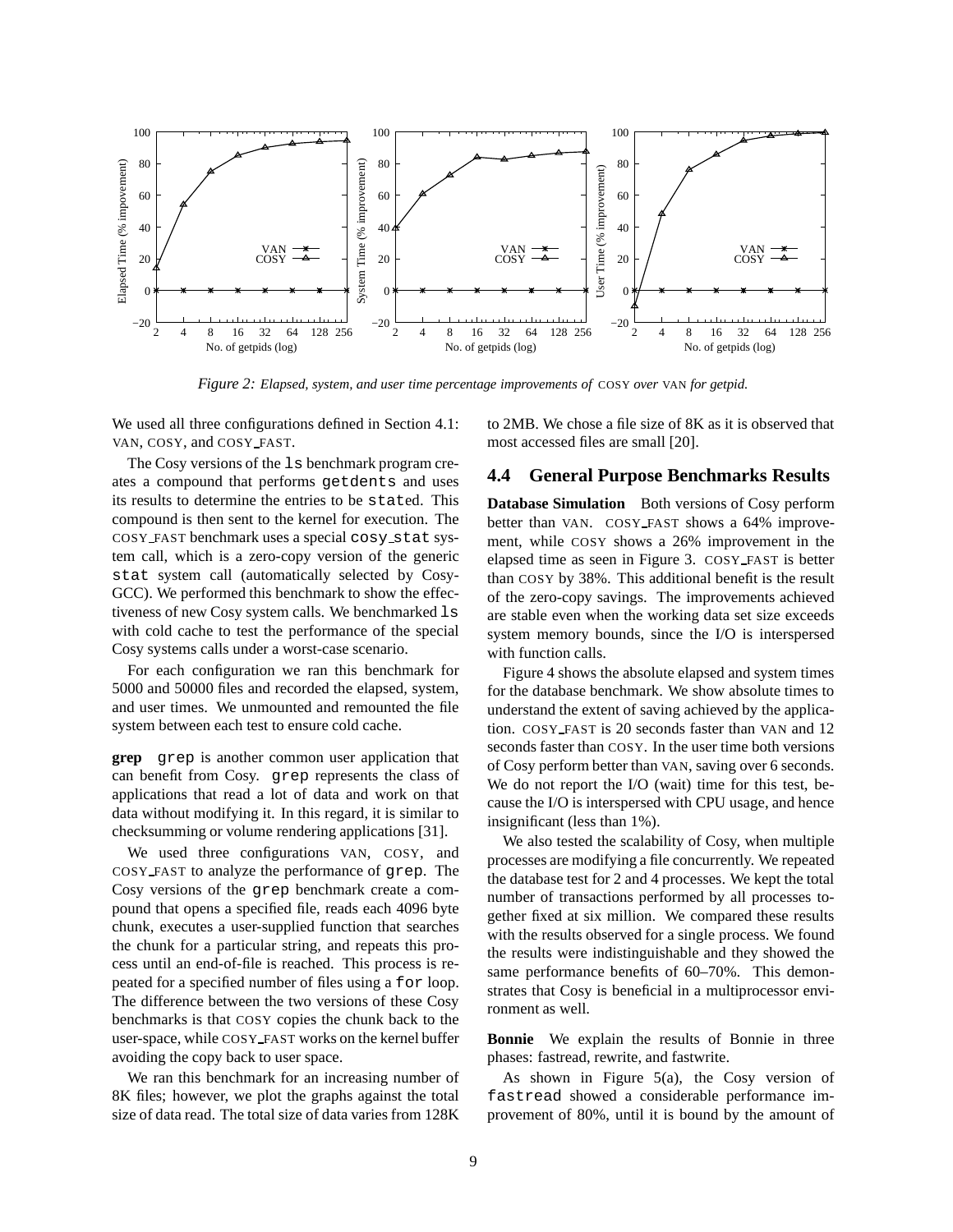

*Figure 2: Elapsed, system, and user time percentage improvements of* COSY *over* VAN *for getpid.*

We used all three configurations defined in Section 4.1: VAN, COSY, and COSY FAST.

The Cosy versions of the 1s benchmark program creates a compound that performs getdents and uses its results to determine the entries to be stated. This compound is then sent to the kernel for execution. The COSY FAST benchmark uses a special cosy stat system call, which is a zero-copy version of the generic stat system call (automatically selected by Cosy-GCC). We performed this benchmark to show the effectiveness of new Cosy system calls. We benchmarked ls with cold cache to test the performance of the special Cosy systems calls under a worst-case scenario.

For each configuration we ran this benchmark for 5000 and 50000 files and recorded the elapsed, system, and user times. We unmounted and remounted the file system between each test to ensure cold cache.

**grep** grep is another common user application that can benefit from Cosy. grep represents the class of applications that read a lot of data and work on that data without modifying it. In this regard, it is similar to checksumming or volume rendering applications [31].

We used three configurations VAN, COSY, and COSY FAST to analyze the performance of grep. The Cosy versions of the grep benchmark create a compound that opens a specified file, reads each 4096 byte chunk, executes a user-supplied function that searches the chunk for a particular string, and repeats this process until an end-of-file is reached. This process is repeated for a specified number of files using a for loop. The difference between the two versions of these Cosy benchmarks is that COSY copies the chunk back to the user-space, while COSY FAST works on the kernel buffer avoiding the copy back to user space.

We ran this benchmark for an increasing number of 8K files; however, we plot the graphs against the total size of data read. The total size of data varies from 128K to 2MB. We chose a file size of 8K as it is observed that most accessed files are small [20].

#### **4.4 General Purpose Benchmarks Results**

**Database Simulation** Both versions of Cosy perform better than VAN. COSY FAST shows a 64% improvement, while COSY shows a 26% improvement in the elapsed time as seen in Figure 3. COSY FAST is better than COSY by 38%. This additional benefit is the result of the zero-copy savings. The improvements achieved are stable even when the working data set size exceeds system memory bounds, since the I/O is interspersed with function calls.

Figure 4 shows the absolute elapsed and system times for the database benchmark. We show absolute times to understand the extent of saving achieved by the application. COSY FAST is 20 seconds faster than VAN and 12 seconds faster than COSY. In the user time both versions of Cosy perform better than VAN, saving over 6 seconds. We do not report the I/O (wait) time for this test, because the I/O is interspersed with CPU usage, and hence insignificant (less than 1%).

We also tested the scalability of Cosy, when multiple processes are modifying a file concurrently. We repeated the database test for 2 and 4 processes. We kept the total number of transactions performed by all processes together fixed at six million. We compared these results with the results observed for a single process. We found the results were indistinguishable and they showed the same performance benefits of 60–70%. This demonstrates that Cosy is beneficial in a multiprocessor environment as well.

**Bonnie** We explain the results of Bonnie in three phases: fastread, rewrite, and fastwrite.

As shown in Figure 5(a), the Cosy version of fastread showed a considerable performance improvement of 80%, until it is bound by the amount of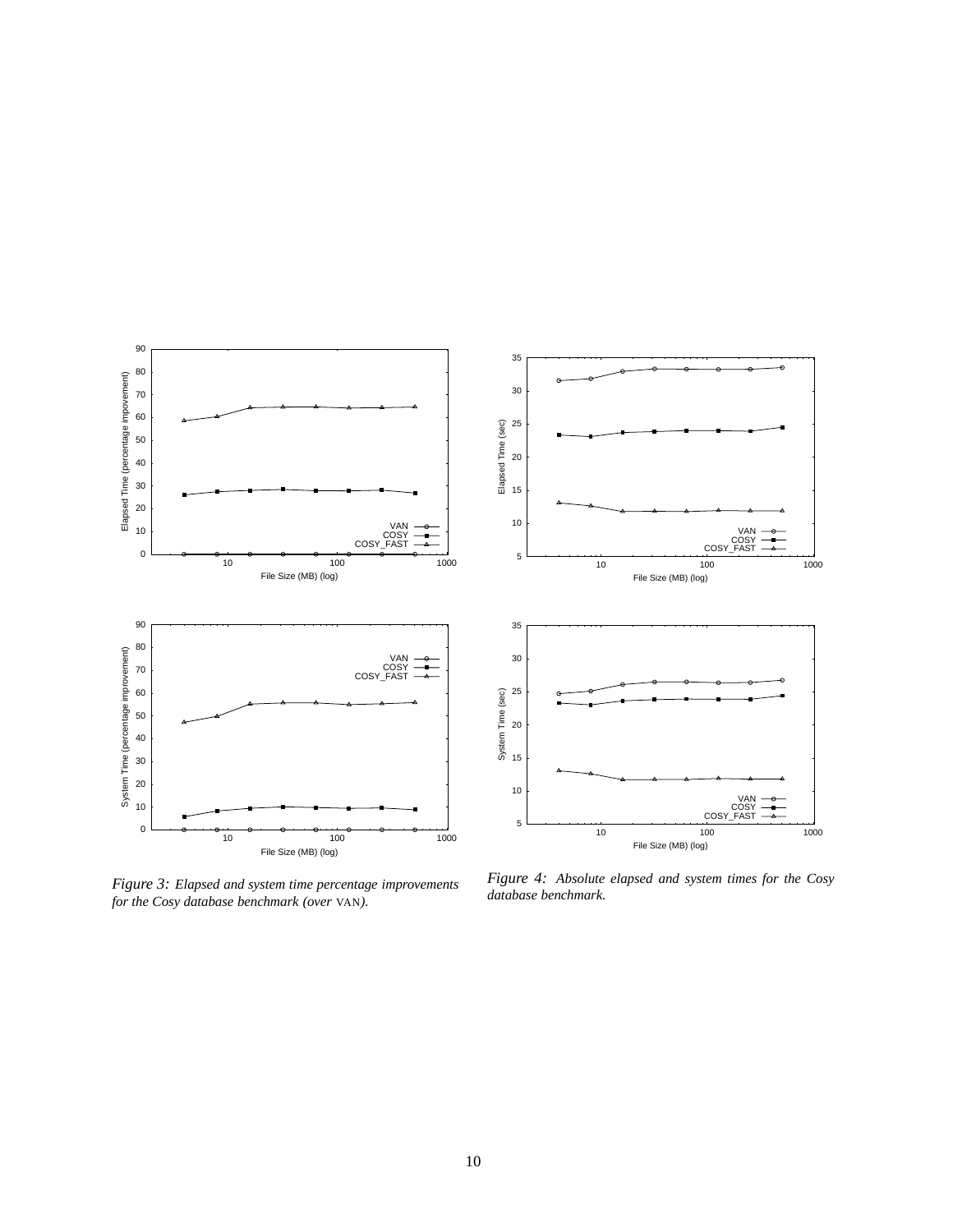

*Figure 3: Elapsed and system time percentage improvements for the Cosy database benchmark (over* VAN*).*



*Figure 4: Absolute elapsed and system times for the Cosy database benchmark.*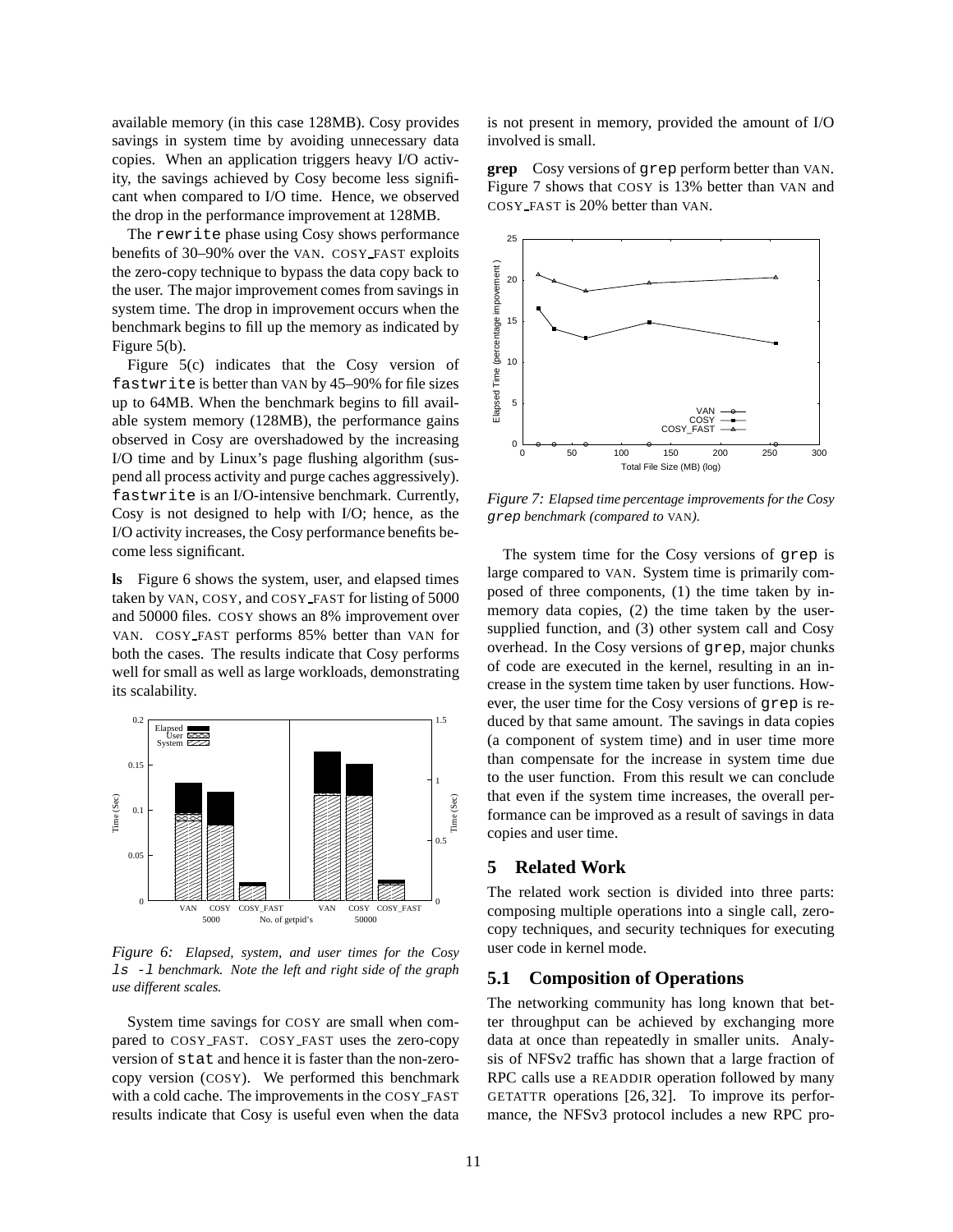available memory (in this case 128MB). Cosy provides savings in system time by avoiding unnecessary data copies. When an application triggers heavy I/O activity, the savings achieved by Cosy become less significant when compared to I/O time. Hence, we observed the drop in the performance improvement at 128MB.

The rewrite phase using Cosy shows performance benefits of 30–90% over the VAN. COSY FAST exploits the zero-copy technique to bypass the data copy back to the user. The major improvement comes from savings in system time. The drop in improvement occurs when the benchmark begins to fill up the memory as indicated by Figure 5(b).

Figure 5(c) indicates that the Cosy version of fastwrite is better than VAN by 45–90% for file sizes up to 64MB. When the benchmark begins to fill available system memory (128MB), the performance gains observed in Cosy are overshadowed by the increasing I/O time and by Linux's page flushing algorithm (suspend all process activity and purge caches aggressively). fastwrite is an I/O-intensive benchmark. Currently, Cosy is not designed to help with I/O; hence, as the I/O activity increases, the Cosy performance benefits become less significant.

**ls** Figure 6 shows the system, user, and elapsed times taken by VAN, COSY, and COSY FAST for listing of 5000 and 50000 files. COSY shows an 8% improvement over VAN. COSY FAST performs 85% better than VAN for both the cases. The results indicate that Cosy performs well for small as well as large workloads, demonstrating its scalability.



*Figure 6: Elapsed, system, and user times for the Cosy* ls -l *benchmark. Note the left and right side of the graph use different scales.*

System time savings for COSY are small when compared to COSY FAST. COSY FAST uses the zero-copy version of stat and hence it is faster than the non-zerocopy version (COSY). We performed this benchmark with a cold cache. The improvements in the COSY FAST results indicate that Cosy is useful even when the data is not present in memory, provided the amount of I/O involved is small.





*Figure 7: Elapsed time percentage improvements for the Cosy* grep *benchmark (compared to* VAN*).*

The system time for the Cosy versions of grep is large compared to VAN. System time is primarily composed of three components, (1) the time taken by inmemory data copies, (2) the time taken by the usersupplied function, and (3) other system call and Cosy overhead. In the Cosy versions of grep, major chunks of code are executed in the kernel, resulting in an increase in the system time taken by user functions. However, the user time for the Cosy versions of grep is reduced by that same amount. The savings in data copies (a component of system time) and in user time more than compensate for the increase in system time due to the user function. From this result we can conclude that even if the system time increases, the overall performance can be improved as a result of savings in data copies and user time.

#### **5 Related Work**

The related work section is divided into three parts: composing multiple operations into a single call, zerocopy techniques, and security techniques for executing user code in kernel mode.

#### **5.1 Composition of Operations**

The networking community has long known that better throughput can be achieved by exchanging more data at once than repeatedly in smaller units. Analysis of NFSv2 traffic has shown that a large fraction of RPC calls use a READDIR operation followed by many GETATTR operations [26, 32]. To improve its performance, the NFSv3 protocol includes a new RPC pro-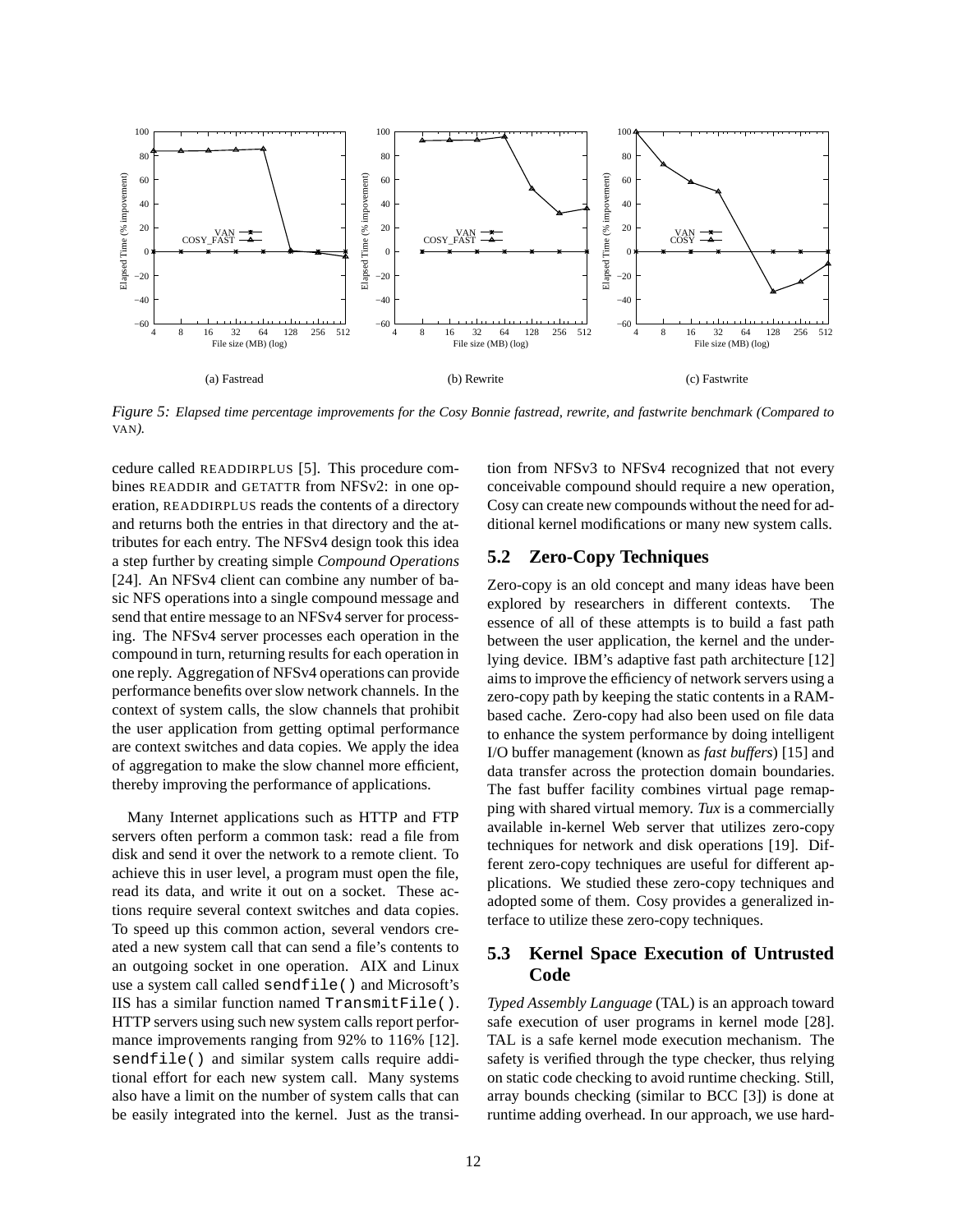

Figure 5: Elapsed time percentage improvements for the Cosy Bonnie fastread, rewrite, and fastwrite benchmark (Compared to VAN*).*

cedure called READDIRPLUS [5]. This procedure combines READDIR and GETATTR from NFSv2: in one operation, READDIRPLUS reads the contents of a directory and returns both the entries in that directory and the attributes for each entry. The NFSv4 design took this idea a step further by creating simple *Compound Operations* [24]. An NFSv4 client can combine any number of basic NFS operations into a single compound message and send that entire message to an NFSv4 server for processing. The NFSv4 server processes each operation in the compound in turn, returning results for each operation in one reply. Aggregation of NFSv4 operations can provide performance benefits over slow network channels. In the context of system calls, the slow channels that prohibit the user application from getting optimal performance are context switches and data copies. We apply the idea of aggregation to make the slow channel more efficient, thereby improving the performance of applications.

Many Internet applications such as HTTP and FTP servers often perform a common task: read a file from disk and send it over the network to a remote client. To achieve this in user level, a program must open the file, read its data, and write it out on a socket. These actions require several context switches and data copies. To speed up this common action, several vendors created a new system call that can send a file's contents to an outgoing socket in one operation. AIX and Linux use a system call called sendfile() and Microsoft's IIS has a similar function named TransmitFile(). HTTP servers using such new system calls report performance improvements ranging from 92% to 116% [12]. sendfile() and similar system calls require additional effort for each new system call. Many systems also have a limit on the number of system calls that can be easily integrated into the kernel. Just as the transition from NFSv3 to NFSv4 recognized that not every conceivable compound should require a new operation, Cosy can create new compounds without the need for additional kernel modifications or many new system calls.

# **5.2 Zero-Copy Techniques**

Zero-copy is an old concept and many ideas have been explored by researchers in different contexts. The essence of all of these attempts is to build a fast path between the user application, the kernel and the underlying device. IBM's adaptive fast path architecture [12] aims to improve the efficiency of network servers using a zero-copy path by keeping the static contents in a RAMbased cache. Zero-copy had also been used on file data to enhance the system performance by doing intelligent I/O buffer management (known as *fast buffers*) [15] and data transfer across the protection domain boundaries. The fast buffer facility combines virtual page remapping with shared virtual memory. *Tux* is a commercially available in-kernel Web server that utilizes zero-copy techniques for network and disk operations [19]. Different zero-copy techniques are useful for different applications. We studied these zero-copy techniques and adopted some of them. Cosy provides a generalized interface to utilize these zero-copy techniques.

# **5.3 Kernel Space Execution of Untrusted Code**

*Typed Assembly Language* (TAL) is an approach toward safe execution of user programs in kernel mode [28]. TAL is a safe kernel mode execution mechanism. The safety is verified through the type checker, thus relying on static code checking to avoid runtime checking. Still, array bounds checking (similar to BCC [3]) is done at runtime adding overhead. In our approach, we use hard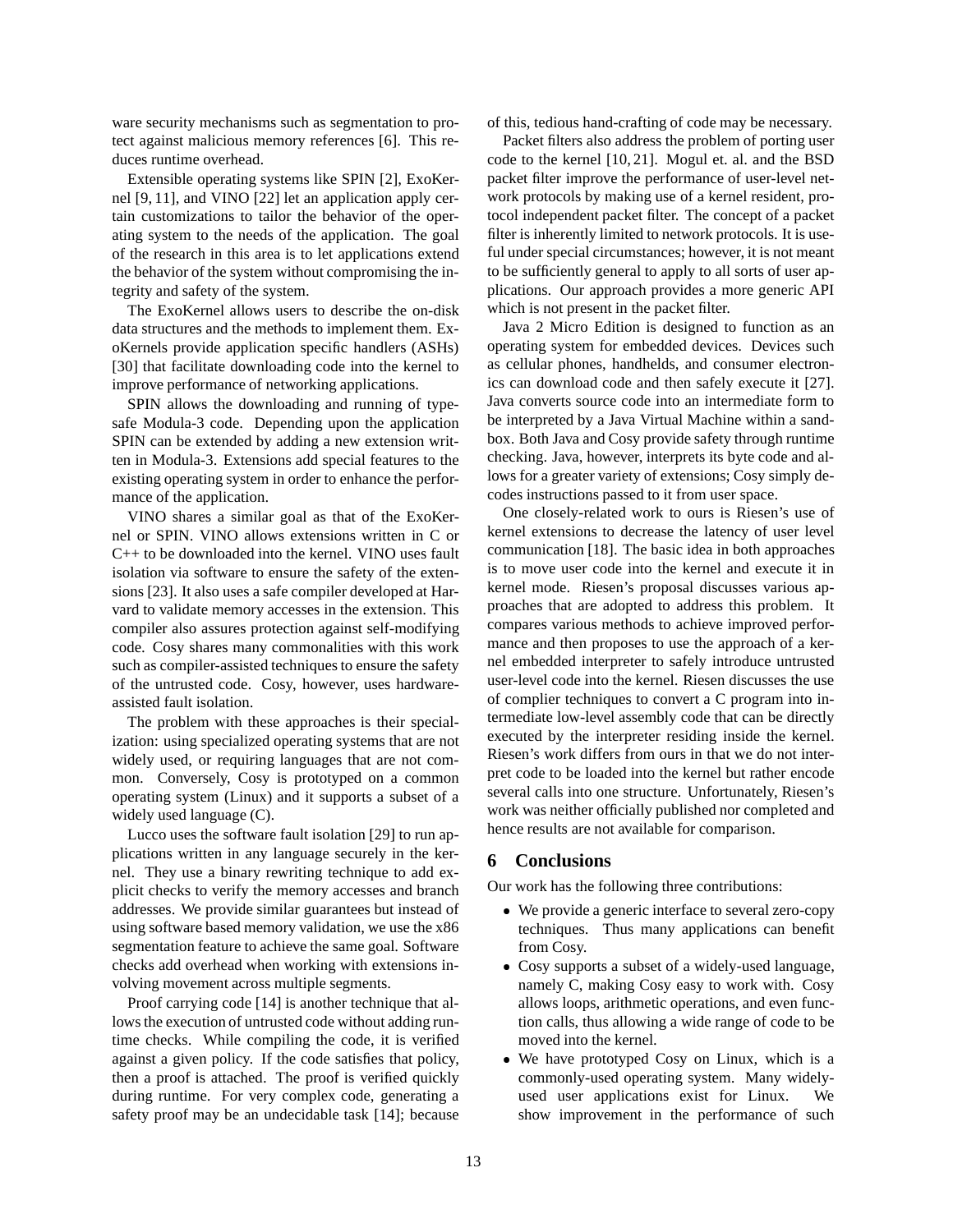ware security mechanisms such as segmentation to protect against malicious memory references [6]. This reduces runtime overhead.

Extensible operating systems like SPIN [2], ExoKernel [9, 11], and VINO [22] let an application apply certain customizations to tailor the behavior of the operating system to the needs of the application. The goal of the research in this area is to let applications extend the behavior of the system without compromising the integrity and safety of the system.

The ExoKernel allows users to describe the on-disk data structures and the methods to implement them. ExoKernels provide application specific handlers (ASHs) [30] that facilitate downloading code into the kernel to improve performance of networking applications.

SPIN allows the downloading and running of typesafe Modula-3 code. Depending upon the application SPIN can be extended by adding a new extension written in Modula-3. Extensions add special features to the existing operating system in order to enhance the performance of the application.

VINO shares a similar goal as that of the ExoKernel or SPIN. VINO allows extensions written in C or C++ to be downloaded into the kernel. VINO uses fault isolation via software to ensure the safety of the extensions [23]. It also uses a safe compiler developed at Harvard to validate memory accesses in the extension. This compiler also assures protection against self-modifying code. Cosy shares many commonalities with this work such as compiler-assisted techniques to ensure the safety of the untrusted code. Cosy, however, uses hardwareassisted fault isolation.

The problem with these approaches is their specialization: using specialized operating systems that are not widely used, or requiring languages that are not common. Conversely, Cosy is prototyped on a common operating system (Linux) and it supports a subset of a widely used language (C).

Lucco uses the software fault isolation [29] to run applications written in any language securely in the kernel. They use a binary rewriting technique to add explicit checks to verify the memory accesses and branch addresses. We provide similar guarantees but instead of using software based memory validation, we use the x86 segmentation feature to achieve the same goal. Software checks add overhead when working with extensions involving movement across multiple segments.

Proof carrying code [14] is another technique that allows the execution of untrusted code without adding runtime checks. While compiling the code, it is verified against a given policy. If the code satisfies that policy, then a proof is attached. The proof is verified quickly during runtime. For very complex code, generating a safety proof may be an undecidable task [14]; because of this, tedious hand-crafting of code may be necessary.

Packet filters also address the problem of porting user code to the kernel [10, 21]. Mogul et. al. and the BSD packet filter improve the performance of user-level network protocols by making use of a kernel resident, protocol independent packet filter. The concept of a packet filter is inherently limited to network protocols. It is useful under special circumstances; however, it is not meant to be sufficiently general to apply to all sorts of user applications. Our approach provides a more generic API which is not present in the packet filter.

Java 2 Micro Edition is designed to function as an operating system for embedded devices. Devices such as cellular phones, handhelds, and consumer electronics can download code and then safely execute it [27]. Java converts source code into an intermediate form to be interpreted by a Java Virtual Machine within a sandbox. Both Java and Cosy provide safety through runtime checking. Java, however, interprets its byte code and allows for a greater variety of extensions; Cosy simply decodes instructions passed to it from user space.

One closely-related work to ours is Riesen's use of kernel extensions to decrease the latency of user level communication [18]. The basic idea in both approaches is to move user code into the kernel and execute it in kernel mode. Riesen's proposal discusses various approaches that are adopted to address this problem. It compares various methods to achieve improved performance and then proposes to use the approach of a kernel embedded interpreter to safely introduce untrusted user-level code into the kernel. Riesen discusses the use of complier techniques to convert a C program into intermediate low-level assembly code that can be directly executed by the interpreter residing inside the kernel. Riesen's work differs from ours in that we do not interpret code to be loaded into the kernel but rather encode several calls into one structure. Unfortunately, Riesen's work was neither officially published nor completed and hence results are not available for comparison.

#### **6 Conclusions**

Our work has the following three contributions:

- We provide a generic interface to several zero-copy techniques. Thus many applications can benefit from Cosy.
- Cosy supports a subset of a widely-used language, namely C, making Cosy easy to work with. Cosy allows loops, arithmetic operations, and even function calls, thus allowing a wide range of code to be moved into the kernel.
- We have prototyped Cosy on Linux, which is a commonly-used operating system. Many widelyused user applications exist for Linux. We show improvement in the performance of such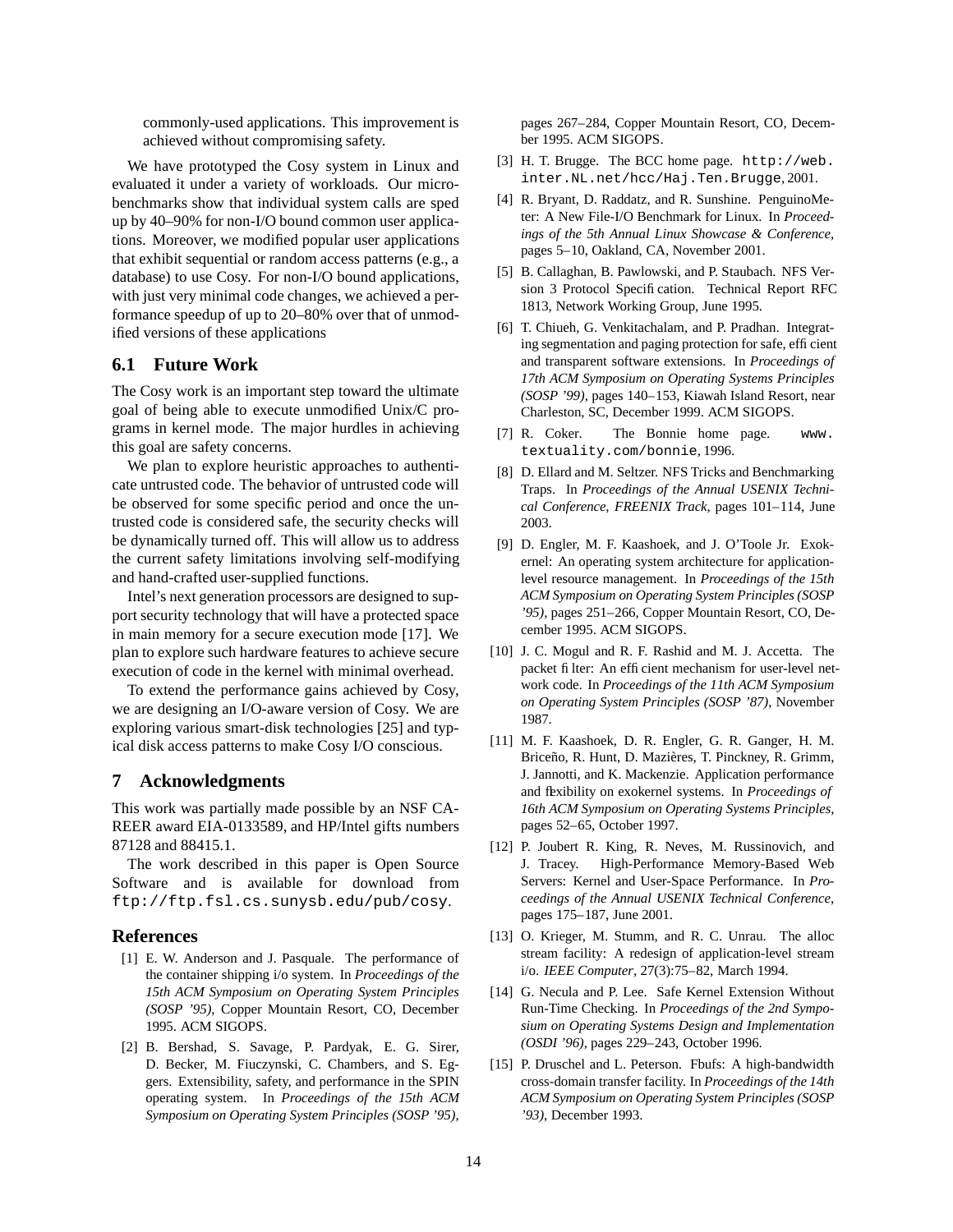commonly-used applications. This improvement is achieved without compromising safety.

We have prototyped the Cosy system in Linux and evaluated it under a variety of workloads. Our microbenchmarks show that individual system calls are sped up by 40–90% for non-I/O bound common user applications. Moreover, we modified popular user applications that exhibit sequential or random access patterns (e.g., a database) to use Cosy. For non-I/O bound applications, with just very minimal code changes, we achieved a performance speedup of up to 20–80% over that of unmodified versions of these applications

### **6.1 Future Work**

The Cosy work is an important step toward the ultimate goal of being able to execute unmodified Unix/C programs in kernel mode. The major hurdles in achieving this goal are safety concerns.

We plan to explore heuristic approaches to authenticate untrusted code. The behavior of untrusted code will be observed for some specific period and once the untrusted code is considered safe, the security checks will be dynamically turned off. This will allow us to address the current safety limitations involving self-modifying and hand-crafted user-supplied functions.

Intel's next generation processors are designed to support security technology that will have a protected space in main memory for a secure execution mode [17]. We plan to explore such hardware features to achieve secure execution of code in the kernel with minimal overhead.

To extend the performance gains achieved by Cosy, we are designing an I/O-aware version of Cosy. We are exploring various smart-disk technologies [25] and typical disk access patterns to make Cosy I/O conscious.

#### **7 Acknowledgments**

This work was partially made possible by an NSF CA-REER award EIA-0133589, and HP/Intel gifts numbers 87128 and 88415.1.

The work described in this paper is Open Source Software and is available for download from ftp://ftp.fsl.cs.sunysb.edu/pub/cosy.

# **References**

- [1] E. W. Anderson and J. Pasquale. The performance of the container shipping i/o system. In *Proceedings of the 15th ACM Symposium on Operating System Principles (SOSP '95)*, Copper Mountain Resort, CO, December 1995. ACM SIGOPS.
- [2] B. Bershad, S. Savage, P. Pardyak, E. G. Sirer, D. Becker, M. Fiuczynski, C. Chambers, and S. Eggers. Extensibility, safety, and performance in the SPIN operating system. In *Proceedings of the 15th ACM Symposium on Operating System Principles (SOSP '95)*,

pages 267–284, Copper Mountain Resort, CO, December 1995. ACM SIGOPS.

- [3] H. T. Brugge. The BCC home page. http://web. inter.NL.net/hcc/Haj.Ten.Brugge, 2001.
- [4] R. Bryant, D. Raddatz, and R. Sunshine. PenguinoMeter: A New File-I/O Benchmark for Linux. In *Proceedings of the 5th Annual Linux Showcase & Conference*, pages 5–10, Oakland, CA, November 2001.
- [5] B. Callaghan, B. Pawlowski, and P. Staubach. NFS Version 3 Protocol Specification. Technical Report RFC 1813, Network Working Group, June 1995.
- [6] T. Chiueh, G. Venkitachalam, and P. Pradhan. Integrating segmentation and paging protection for safe, efficient and transparent software extensions. In *Proceedings of 17th ACM Symposium on Operating Systems Principles (SOSP '99)*, pages 140–153, Kiawah Island Resort, near Charleston, SC, December 1999. ACM SIGOPS.
- [7] R. Coker. The Bonnie home page. www. textuality.com/bonnie, 1996.
- [8] D. Ellard and M. Seltzer. NFS Tricks and Benchmarking Traps. In *Proceedings of the Annual USENIX Technical Conference, FREENIX Track*, pages 101–114, June 2003.
- [9] D. Engler, M. F. Kaashoek, and J. O'Toole Jr. Exokernel: An operating system architecture for applicationlevel resource management. In *Proceedings of the 15th ACM Symposium on Operating System Principles (SOSP '95)*, pages 251–266, Copper Mountain Resort, CO, December 1995. ACM SIGOPS.
- [10] J. C. Mogul and R. F. Rashid and M. J. Accetta. The packet filter: An efficient mechanism for user-level network code. In *Proceedings of the 11th ACM Symposium on Operating System Principles (SOSP '87)*, November 1987.
- [11] M. F. Kaashoek, D. R. Engler, G. R. Ganger, H. M. Briceño, R. Hunt, D. Mazières, T. Pinckney, R. Grimm, J. Jannotti, and K. Mackenzie. Application performance and flexibility on exokernel systems. In *Proceedings of 16th ACM Symposium on Operating Systems Principles*, pages 52–65, October 1997.
- [12] P. Joubert R. King, R. Neves, M. Russinovich, and J. Tracey. High-Performance Memory-Based Web Servers: Kernel and User-Space Performance. In *Proceedings of the Annual USENIX Technical Conference*, pages 175–187, June 2001.
- [13] O. Krieger, M. Stumm, and R. C. Unrau. The alloc stream facility: A redesign of application-level stream i/o. *IEEE Computer*, 27(3):75–82, March 1994.
- [14] G. Necula and P. Lee. Safe Kernel Extension Without Run-Time Checking. In *Proceedings of the 2nd Symposium on Operating Systems Design and Implementation (OSDI '96)*, pages 229–243, October 1996.
- [15] P. Druschel and L. Peterson. Fbufs: A high-bandwidth cross-domain transfer facility. In *Proceedings of the 14th ACM Symposium on Operating System Principles (SOSP '93)*, December 1993.